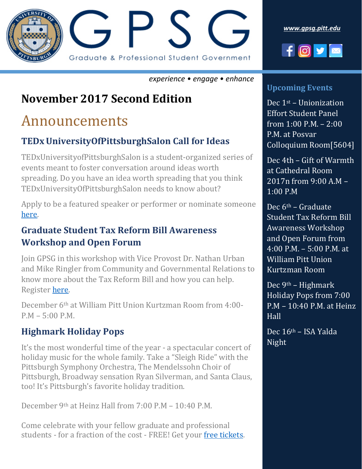

*[www.gpsg.pitt.edu](http://www.gpsg.pitt.edu/)*



*experience • engage • enhance*

## **November 2017 Second Edition**

## Announcements

### **TEDxUniversityOfPittsburghSalon Call for Ideas**

TEDxUniversityofPittsburghSalon is a student-organized series of events meant to foster conversation around ideas worth spreading. Do you have an idea worth spreading that you think TEDxUniversityOfPittsburghSalon needs to know about?

Apply to be a featured speaker or performer or nominate someone [here.](https://goo.gl/PPcCig)

#### **Graduate Student Tax Reform Bill Awareness Workshop and Open Forum**

Join GPSG in this workshop with Vice Provost Dr. Nathan Urban and Mike Ringler from Community and Governmental Relations to know more about the Tax Reform Bill and how you can help. Register [here.](https://gpsgtaxreform.eventbrite.com/)

December 6th at William Pitt Union Kurtzman Room from 4:00- P.M – 5:00 P.M.

#### **Highmark Holiday Pops**

It's the most wonderful time of the year - a spectacular concert of holiday music for the whole family. Take a "Sleigh Ride" with the Pittsburgh Symphony Orchestra, The Mendelssohn Choir of Pittsburgh, Broadway sensation Ryan Silverman, and Santa Claus, too! It's Pittsburgh's favorite holiday tradition.

December 9th at Heinz Hall from 7:00 P.M – 10:40 P.M.

Come celebrate with your fellow graduate and professional students - for a fraction of the cost - FREE! Get your [free tickets.](https://gpsgholidaypops.eventbrite.com/)

#### **Upcoming Events**

Dec 1st – Unionization Effort Student Panel from 1:00 P.M. – 2:00 P.M. at Posvar Colloquium Room[5604]

Dec 4th – Gift of Warmth at Cathedral Room 2017n from 9:00 A.M – 1:00 P.M

Dec 6th – Graduate Student Tax Reform Bill Awareness Workshop and Open Forum from 4:00 P.M. – 5:00 P.M. at William Pitt Union Kurtzman Room

Dec 9th – Highmark Holiday Pops from 7:00 P.M – 10:40 P.M. at Heinz Hall

Dec 16th – ISA Yalda Night